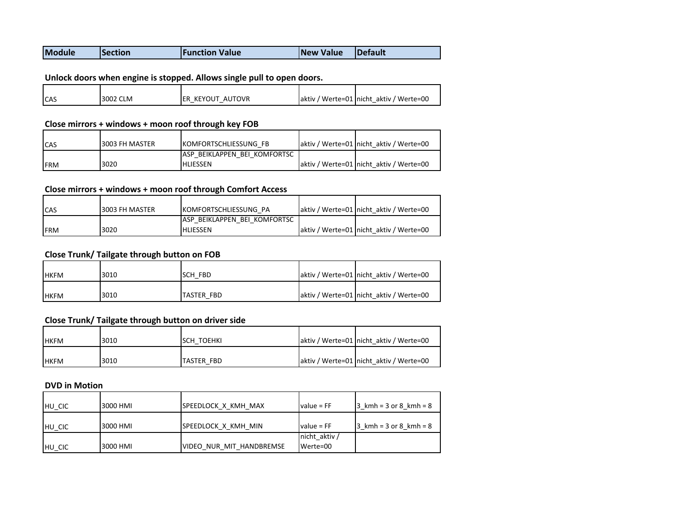| <b>Mo</b><br><b>IDefault</b><br><b>New</b><br><b>Value</b><br>ction Value<br>tion<br>company of the company of the company |
|----------------------------------------------------------------------------------------------------------------------------|
|----------------------------------------------------------------------------------------------------------------------------|

## Unlock doors when engine is stopped. Allows single pull to open doors.

| <b>ICAS</b> | 3002 CLM | AUTOVR<br>KEYOUT<br><b>IER</b> | aktiv / Werte=01 nicht aktiv / Werte=00 |
|-------------|----------|--------------------------------|-----------------------------------------|

#### Close mirrors + windows + moon roof through key FOB

| <b>ICAS</b> | 3003 FH MASTER | <b>IKOMFORTSCHLIESSUNG FB</b>                    | aktiv / Werte=01 Inicht aktiv / Werte=00 |
|-------------|----------------|--------------------------------------------------|------------------------------------------|
| <b>IFRM</b> | 3020           | LASP BEIKLAPPEN BEI KOMFORTSC<br><b>HLIESSEN</b> | aktiv / Werte=01 nicht aktiv / Werte=00  |

## Close mirrors + windows + moon roof through Comfort Access

| <b>ICAS</b> | 3003 FH MASTER | <b>IKOMFORTSCHLIESSUNG PA</b> | aktiv / Werte=01 nicht aktiv / Werte=00 |
|-------------|----------------|-------------------------------|-----------------------------------------|
|             |                | ASP BEIKLAPPEN BEI KOMFORTSC  |                                         |
| <b>IFRM</b> | 3020           | <b>IHLIESSEN</b>              | aktiv / Werte=01 nicht aktiv / Werte=00 |

## Close Trunk/ Tailgate through button on FOB

| <b>IHKFM</b> | 3010 | SCH FBD    | aktiv / Werte=01 nicht aktiv / Werte=00 |
|--------------|------|------------|-----------------------------------------|
| <b>IHKFM</b> | 3010 | TASTER FBD | aktiv / Werte=01 nicht aktiv / Werte=00 |

## Close Trunk/ Tailgate through button on driver side

| <b>IHKFM</b> | 3010 | SCH TOEHKI | aktiv / Werte=01 Inicht aktiv / Werte=00 |
|--------------|------|------------|------------------------------------------|
| <b>IHKFM</b> | 3010 | TASTER FBD | aktiv / Werte=01 nicht aktiv / Werte=00  |

#### DVD in Motion

| HU CIC | 3000 HMI | SPEEDLOCK X KMH MAX      | value = $FF$              | $3 \text{ kmh} = 3 \text{ or } 8 \text{ kmh} = 8$ |
|--------|----------|--------------------------|---------------------------|---------------------------------------------------|
| HU CIC | 3000 HMI | SPEEDLOCK X KMH MIN      | $value = FF$              | $3 \text{ kmh} = 3 \text{ or } 8 \text{ kmh} = 8$ |
| HU CIC | 3000 HMI | VIDEO NUR MIT HANDBREMSE | nicht aktiv /<br>Werte=00 |                                                   |